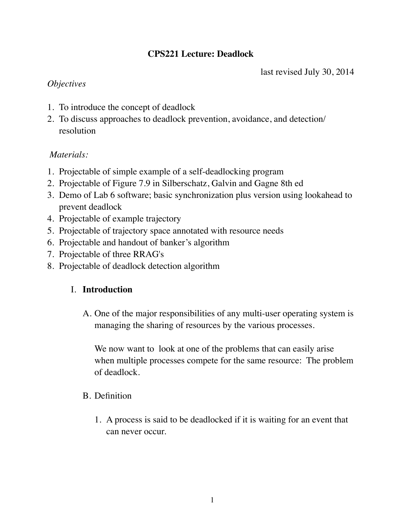# **CPS221 Lecture: Deadlock**

last revised July 30, 2014

## *Objectives*

- 1. To introduce the concept of deadlock
- 2. To discuss approaches to deadlock prevention, avoidance, and detection/ resolution

## *Materials:*

- 1. Projectable of simple example of a self-deadlocking program
- 2. Projectable of Figure 7.9 in Silberschatz, Galvin and Gagne 8th ed
- 3. Demo of Lab 6 software; basic synchronization plus version using lookahead to prevent deadlock
- 4. Projectable of example trajectory
- 5. Projectable of trajectory space annotated with resource needs
- 6. Projectable and handout of banker's algorithm
- 7. Projectable of three RRAG's
- 8. Projectable of deadlock detection algorithm

# I. **Introduction**

A. One of the major responsibilities of any multi-user operating system is managing the sharing of resources by the various processes.

We now want to look at one of the problems that can easily arise when multiple processes compete for the same resource: The problem of deadlock.

# B. Definition

1. A process is said to be deadlocked if it is waiting for an event that can never occur.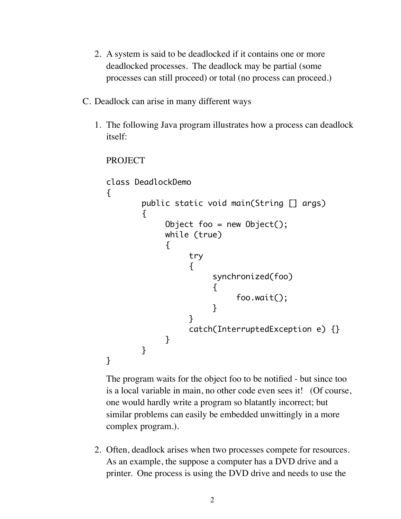- 2. A system is said to be deadlocked if it contains one or more deadlocked processes. The deadlock may be partial (some processes can still proceed) or total (no process can proceed.)
- C. Deadlock can arise in many different ways
	- 1. The following Java program illustrates how a process can deadlock itself:

```
PROJECT
```

```
class DeadlockDemo
{
      public static void main(String [] args)
      {f}Object foo = new Object();
          	 	 while (true)
\{	 		 try 
\{	 			 synchronized(foo)
\{	 				 foo.wait();
	 			 }
	 		 }
              	 		 catch(InterruptedException e) {}
	 	 }
      }
}
```
The program waits for the object foo to be notified - but since too is a local variable in main, no other code even sees it! (Of course, one would hardly write a program so blatantly incorrect; but similar problems can easily be embedded unwittingly in a more complex program.).

2. Often, deadlock arises when two processes compete for resources. As an example, the suppose a computer has a DVD drive and a printer. One process is using the DVD drive and needs to use the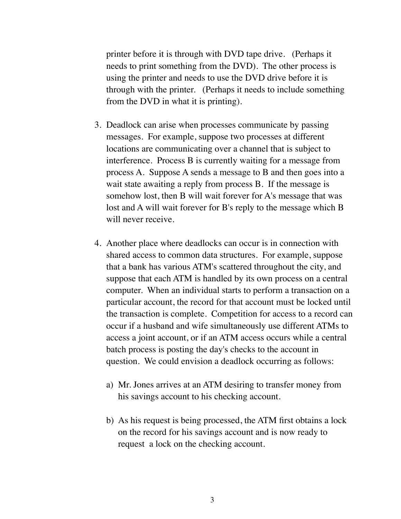printer before it is through with DVD tape drive. (Perhaps it needs to print something from the DVD). The other process is using the printer and needs to use the DVD drive before it is through with the printer. (Perhaps it needs to include something from the DVD in what it is printing).

- 3. Deadlock can arise when processes communicate by passing messages. For example, suppose two processes at different locations are communicating over a channel that is subject to interference. Process B is currently waiting for a message from process A. Suppose A sends a message to B and then goes into a wait state awaiting a reply from process B. If the message is somehow lost, then B will wait forever for A's message that was lost and A will wait forever for B's reply to the message which B will never receive.
- 4. Another place where deadlocks can occur is in connection with shared access to common data structures. For example, suppose that a bank has various ATM's scattered throughout the city, and suppose that each ATM is handled by its own process on a central computer. When an individual starts to perform a transaction on a particular account, the record for that account must be locked until the transaction is complete. Competition for access to a record can occur if a husband and wife simultaneously use different ATMs to access a joint account, or if an ATM access occurs while a central batch process is posting the day's checks to the account in question. We could envision a deadlock occurring as follows:
	- a) Mr. Jones arrives at an ATM desiring to transfer money from his savings account to his checking account.
	- b) As his request is being processed, the ATM first obtains a lock on the record for his savings account and is now ready to request a lock on the checking account.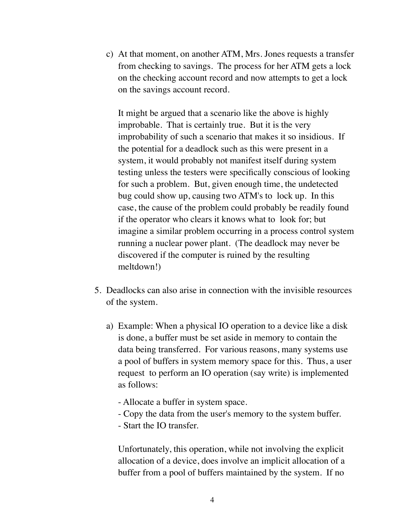c) At that moment, on another ATM, Mrs. Jones requests a transfer from checking to savings. The process for her ATM gets a lock on the checking account record and now attempts to get a lock on the savings account record.

It might be argued that a scenario like the above is highly improbable. That is certainly true. But it is the very improbability of such a scenario that makes it so insidious. If the potential for a deadlock such as this were present in a system, it would probably not manifest itself during system testing unless the testers were specifically conscious of looking for such a problem. But, given enough time, the undetected bug could show up, causing two ATM's to lock up. In this case, the cause of the problem could probably be readily found if the operator who clears it knows what to look for; but imagine a similar problem occurring in a process control system running a nuclear power plant. (The deadlock may never be discovered if the computer is ruined by the resulting meltdown!)

- 5. Deadlocks can also arise in connection with the invisible resources of the system.
	- a) Example: When a physical IO operation to a device like a disk is done, a buffer must be set aside in memory to contain the data being transferred. For various reasons, many systems use a pool of buffers in system memory space for this. Thus, a user request to perform an IO operation (say write) is implemented as follows:
		- Allocate a buffer in system space.
		- Copy the data from the user's memory to the system buffer.
		- Start the IO transfer.

Unfortunately, this operation, while not involving the explicit allocation of a device, does involve an implicit allocation of a buffer from a pool of buffers maintained by the system. If no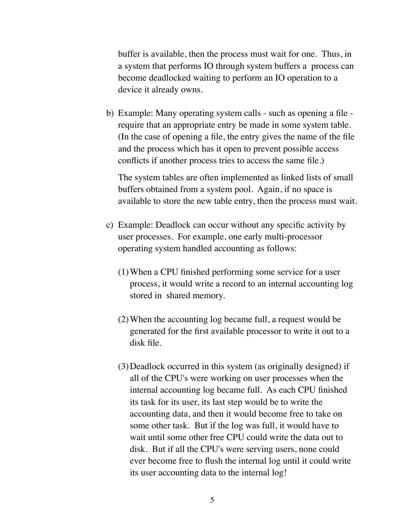buffer is available, then the process must wait for one. Thus, in a system that performs IO through system buffers a process can become deadlocked waiting to perform an IO operation to a device it already owns.

b) Example: Many operating system calls - such as opening a file require that an appropriate entry be made in some system table. (In the case of opening a file, the entry gives the name of the file and the process which has it open to prevent possible access conflicts if another process tries to access the same file.)

The system tables are often implemented as linked lists of small buffers obtained from a system pool. Again, if no space is available to store the new table entry, then the process must wait.

- c) Example: Deadlock can occur without any specific activity by user processes. For example, one early multi-processor operating system handled accounting as follows:
	- (1)When a CPU finished performing some service for a user process, it would write a record to an internal accounting log stored in shared memory.
	- (2)When the accounting log became full, a request would be generated for the first available processor to write it out to a disk file.
	- (3)Deadlock occurred in this system (as originally designed) if all of the CPU's were working on user processes when the internal accounting log became full. As each CPU finished its task for its user, its last step would be to write the accounting data, and then it would become free to take on some other task. But if the log was full, it would have to wait until some other free CPU could write the data out to disk. But if all the CPU's were serving users, none could ever become free to flush the internal log until it could write its user accounting data to the internal log!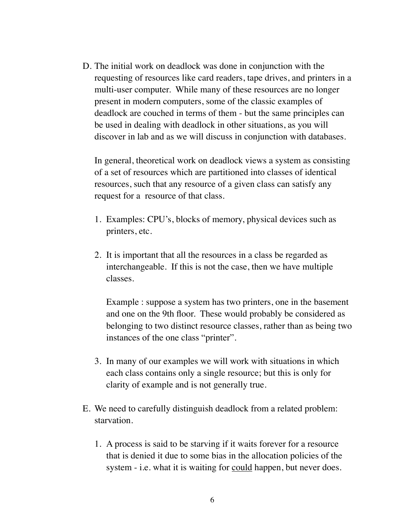D. The initial work on deadlock was done in conjunction with the requesting of resources like card readers, tape drives, and printers in a multi-user computer. While many of these resources are no longer present in modern computers, some of the classic examples of deadlock are couched in terms of them - but the same principles can be used in dealing with deadlock in other situations, as you will discover in lab and as we will discuss in conjunction with databases.

In general, theoretical work on deadlock views a system as consisting of a set of resources which are partitioned into classes of identical resources, such that any resource of a given class can satisfy any request for a resource of that class.

- 1. Examples: CPU's, blocks of memory, physical devices such as printers, etc.
- 2. It is important that all the resources in a class be regarded as interchangeable. If this is not the case, then we have multiple classes.

Example : suppose a system has two printers, one in the basement and one on the 9th floor. These would probably be considered as belonging to two distinct resource classes, rather than as being two instances of the one class "printer".

- 3. In many of our examples we will work with situations in which each class contains only a single resource; but this is only for clarity of example and is not generally true.
- E. We need to carefully distinguish deadlock from a related problem: starvation.
	- 1. A process is said to be starving if it waits forever for a resource that is denied it due to some bias in the allocation policies of the system - i.e. what it is waiting for could happen, but never does.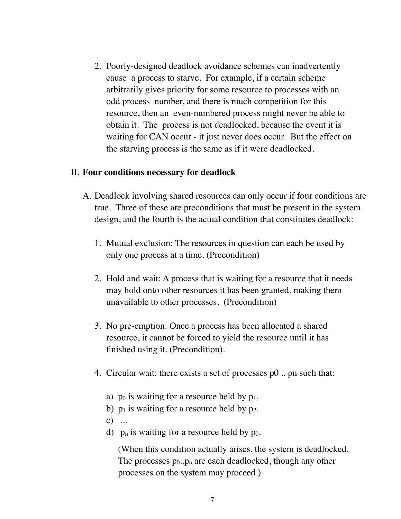2. Poorly-designed deadlock avoidance schemes can inadvertently cause a process to starve. For example, if a certain scheme arbitrarily gives priority for some resource to processes with an odd process number, and there is much competition for this resource, then an even-numbered process might never be able to obtain it. The process is not deadlocked, because the event it is waiting for CAN occur - it just never does occur. But the effect on the starving process is the same as if it were deadlocked.

#### II. **Four conditions necessary for deadlock**

- A. Deadlock involving shared resources can only occur if four conditions are true. Three of these are preconditions that must be present in the system design, and the fourth is the actual condition that constitutes deadlock:
	- 1. Mutual exclusion: The resources in question can each be used by only one process at a time. (Precondition)
	- 2. Hold and wait: A process that is waiting for a resource that it needs may hold onto other resources it has been granted, making them unavailable to other processes. (Precondition)
	- 3. No pre-emption: Once a process has been allocated a shared resource, it cannot be forced to yield the resource until it has finished using it. (Precondition).
	- 4. Circular wait: there exists a set of processes p0 .. pn such that:
		- a)  $p_0$  is waiting for a resource held by  $p_1$ .
		- b)  $p_1$  is waiting for a resource held by  $p_2$ .
		- $c)$  ...
		- d)  $p_n$  is waiting for a resource held by  $p_0$ .

(When this condition actually arises, the system is deadlocked. The processes  $p_0 \cdot p_n$  are each deadlocked, though any other processes on the system may proceed.)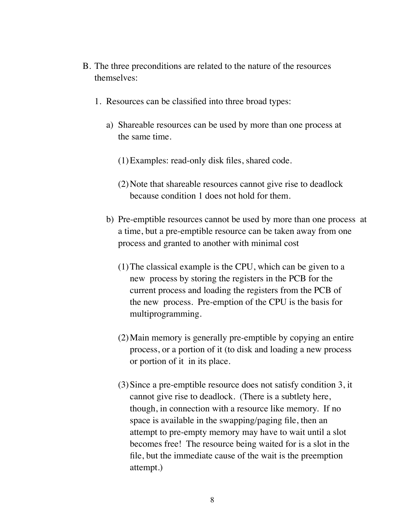- B. The three preconditions are related to the nature of the resources themselves:
	- 1. Resources can be classified into three broad types:
		- a) Shareable resources can be used by more than one process at the same time.
			- (1)Examples: read-only disk files, shared code.
			- (2)Note that shareable resources cannot give rise to deadlock because condition 1 does not hold for them.
		- b) Pre-emptible resources cannot be used by more than one process at a time, but a pre-emptible resource can be taken away from one process and granted to another with minimal cost
			- (1)The classical example is the CPU, which can be given to a new process by storing the registers in the PCB for the current process and loading the registers from the PCB of the new process. Pre-emption of the CPU is the basis for multiprogramming.
			- (2)Main memory is generally pre-emptible by copying an entire process, or a portion of it (to disk and loading a new process or portion of it in its place.
			- (3)Since a pre-emptible resource does not satisfy condition 3, it cannot give rise to deadlock. (There is a subtlety here, though, in connection with a resource like memory. If no space is available in the swapping/paging file, then an attempt to pre-empty memory may have to wait until a slot becomes free! The resource being waited for is a slot in the file, but the immediate cause of the wait is the preemption attempt.)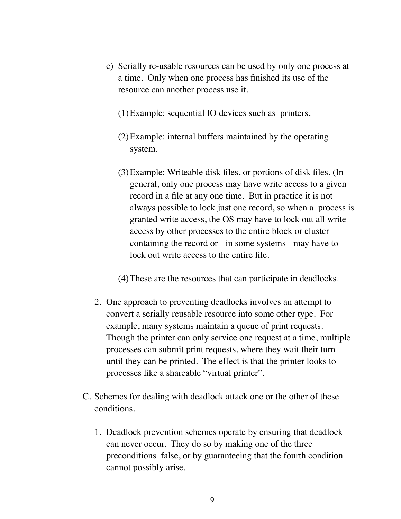- c) Serially re-usable resources can be used by only one process at a time. Only when one process has finished its use of the resource can another process use it.
	- (1)Example: sequential IO devices such as printers,
	- (2)Example: internal buffers maintained by the operating system.
	- (3)Example: Writeable disk files, or portions of disk files. (In general, only one process may have write access to a given record in a file at any one time. But in practice it is not always possible to lock just one record, so when a process is granted write access, the OS may have to lock out all write access by other processes to the entire block or cluster containing the record or - in some systems - may have to lock out write access to the entire file.
	- (4)These are the resources that can participate in deadlocks.
- 2. One approach to preventing deadlocks involves an attempt to convert a serially reusable resource into some other type. For example, many systems maintain a queue of print requests. Though the printer can only service one request at a time, multiple processes can submit print requests, where they wait their turn until they can be printed. The effect is that the printer looks to processes like a shareable "virtual printer".
- C. Schemes for dealing with deadlock attack one or the other of these conditions.
	- 1. Deadlock prevention schemes operate by ensuring that deadlock can never occur. They do so by making one of the three preconditions false, or by guaranteeing that the fourth condition cannot possibly arise.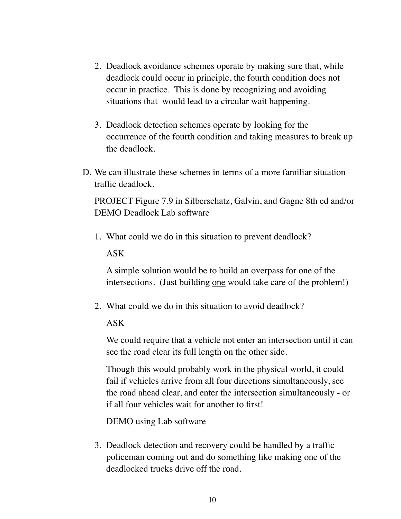- 2. Deadlock avoidance schemes operate by making sure that, while deadlock could occur in principle, the fourth condition does not occur in practice. This is done by recognizing and avoiding situations that would lead to a circular wait happening.
- 3. Deadlock detection schemes operate by looking for the occurrence of the fourth condition and taking measures to break up the deadlock.
- D. We can illustrate these schemes in terms of a more familiar situation traffic deadlock.

PROJECT Figure 7.9 in Silberschatz, Galvin, and Gagne 8th ed and/or DEMO Deadlock Lab software

1. What could we do in this situation to prevent deadlock? ASK

A simple solution would be to build an overpass for one of the intersections. (Just building <u>one</u> would take care of the problem!)

2. What could we do in this situation to avoid deadlock?

### ASK

We could require that a vehicle not enter an intersection until it can see the road clear its full length on the other side.

Though this would probably work in the physical world, it could fail if vehicles arrive from all four directions simultaneously, see the road ahead clear, and enter the intersection simultaneously - or if all four vehicles wait for another to first!

DEMO using Lab software

3. Deadlock detection and recovery could be handled by a traffic policeman coming out and do something like making one of the deadlocked trucks drive off the road.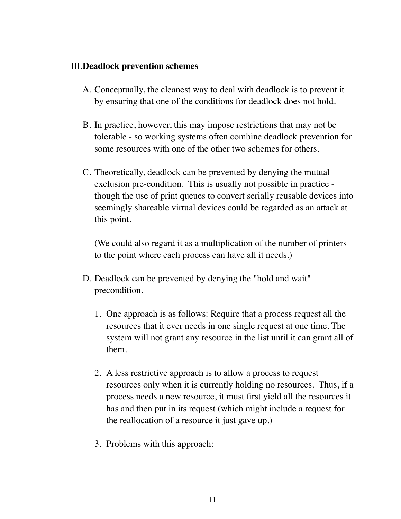#### III.**Deadlock prevention schemes**

- A. Conceptually, the cleanest way to deal with deadlock is to prevent it by ensuring that one of the conditions for deadlock does not hold.
- B. In practice, however, this may impose restrictions that may not be tolerable - so working systems often combine deadlock prevention for some resources with one of the other two schemes for others.
- C. Theoretically, deadlock can be prevented by denying the mutual exclusion pre-condition. This is usually not possible in practice though the use of print queues to convert serially reusable devices into seemingly shareable virtual devices could be regarded as an attack at this point.

(We could also regard it as a multiplication of the number of printers to the point where each process can have all it needs.)

- D. Deadlock can be prevented by denying the "hold and wait" precondition.
	- 1. One approach is as follows: Require that a process request all the resources that it ever needs in one single request at one time. The system will not grant any resource in the list until it can grant all of them.
	- 2. A less restrictive approach is to allow a process to request resources only when it is currently holding no resources. Thus, if a process needs a new resource, it must first yield all the resources it has and then put in its request (which might include a request for the reallocation of a resource it just gave up.)
	- 3. Problems with this approach: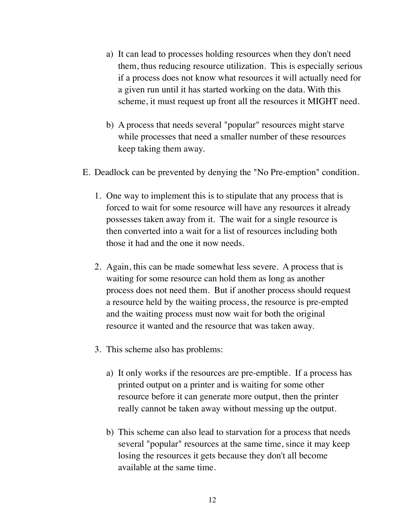- a) It can lead to processes holding resources when they don't need them, thus reducing resource utilization. This is especially serious if a process does not know what resources it will actually need for a given run until it has started working on the data. With this scheme, it must request up front all the resources it MIGHT need.
- b) A process that needs several "popular" resources might starve while processes that need a smaller number of these resources keep taking them away.
- E. Deadlock can be prevented by denying the "No Pre-emption" condition.
	- 1. One way to implement this is to stipulate that any process that is forced to wait for some resource will have any resources it already possesses taken away from it. The wait for a single resource is then converted into a wait for a list of resources including both those it had and the one it now needs.
	- 2. Again, this can be made somewhat less severe. A process that is waiting for some resource can hold them as long as another process does not need them. But if another process should request a resource held by the waiting process, the resource is pre-empted and the waiting process must now wait for both the original resource it wanted and the resource that was taken away.
	- 3. This scheme also has problems:
		- a) It only works if the resources are pre-emptible. If a process has printed output on a printer and is waiting for some other resource before it can generate more output, then the printer really cannot be taken away without messing up the output.
		- b) This scheme can also lead to starvation for a process that needs several "popular" resources at the same time, since it may keep losing the resources it gets because they don't all become available at the same time.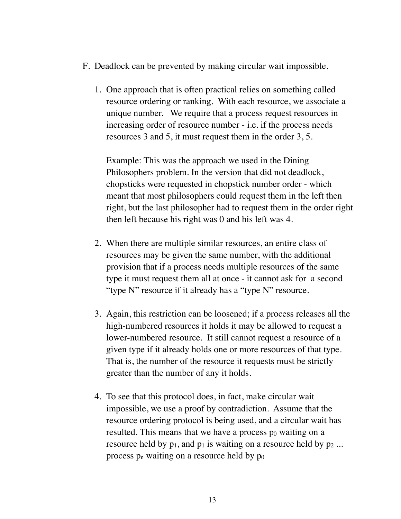- F. Deadlock can be prevented by making circular wait impossible.
	- 1. One approach that is often practical relies on something called resource ordering or ranking. With each resource, we associate a unique number. We require that a process request resources in increasing order of resource number - i.e. if the process needs resources 3 and 5, it must request them in the order 3, 5.

Example: This was the approach we used in the Dining Philosophers problem. In the version that did not deadlock, chopsticks were requested in chopstick number order - which meant that most philosophers could request them in the left then right, but the last philosopher had to request them in the order right then left because his right was 0 and his left was 4.

- 2. When there are multiple similar resources, an entire class of resources may be given the same number, with the additional provision that if a process needs multiple resources of the same type it must request them all at once - it cannot ask for a second "type N" resource if it already has a "type N" resource.
- 3. Again, this restriction can be loosened; if a process releases all the high-numbered resources it holds it may be allowed to request a lower-numbered resource. It still cannot request a resource of a given type if it already holds one or more resources of that type. That is, the number of the resource it requests must be strictly greater than the number of any it holds.
- 4. To see that this protocol does, in fact, make circular wait impossible, we use a proof by contradiction. Assume that the resource ordering protocol is being used, and a circular wait has resulted. This means that we have a process  $p_0$  waiting on a resource held by  $p_1$ , and  $p_1$  is waiting on a resource held by  $p_2$ ... process  $p_n$  waiting on a resource held by  $p_0$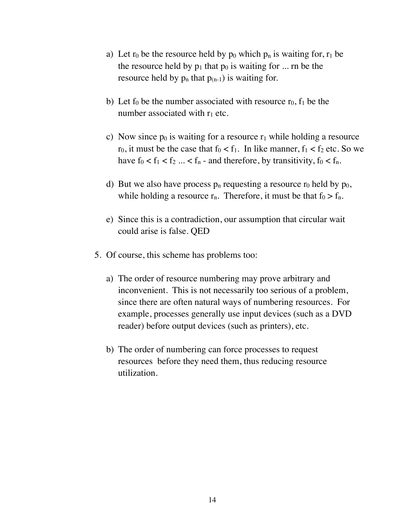- a) Let  $r_0$  be the resource held by  $p_0$  which  $p_n$  is waiting for,  $r_1$  be the resource held by  $p_1$  that  $p_0$  is waiting for ... rn be the resource held by  $p_n$  that  $p_{(n-1)}$  is waiting for.
- b) Let  $f_0$  be the number associated with resource  $r_0$ ,  $f_1$  be the number associated with  $r_1$  etc.
- c) Now since  $p_0$  is waiting for a resource  $r_1$  while holding a resource  $r_0$ , it must be the case that  $f_0 < f_1$ . In like manner,  $f_1 < f_2$  etc. So we have  $f_0 < f_1 < f_2 ... < f_n$  - and therefore, by transitivity,  $f_0 < f_n$ .
- d) But we also have process  $p_n$  requesting a resource  $r_0$  held by  $p_0$ , while holding a resource  $r_n$ . Therefore, it must be that  $f_0 > f_n$ .
- e) Since this is a contradiction, our assumption that circular wait could arise is false. QED
- 5. Of course, this scheme has problems too:
	- a) The order of resource numbering may prove arbitrary and inconvenient. This is not necessarily too serious of a problem, since there are often natural ways of numbering resources. For example, processes generally use input devices (such as a DVD reader) before output devices (such as printers), etc.
	- b) The order of numbering can force processes to request resources before they need them, thus reducing resource utilization.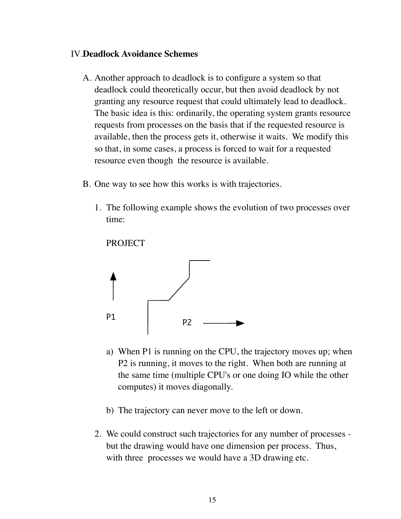#### IV.**Deadlock Avoidance Schemes**

- A. Another approach to deadlock is to configure a system so that deadlock could theoretically occur, but then avoid deadlock by not granting any resource request that could ultimately lead to deadlock. The basic idea is this: ordinarily, the operating system grants resource requests from processes on the basis that if the requested resource is available, then the process gets it, otherwise it waits. We modify this so that, in some cases, a process is forced to wait for a requested resource even though the resource is available.
- B. One way to see how this works is with trajectories.
	- 1. The following example shows the evolution of two processes over time:

PROJECT



- a) When P1 is running on the CPU, the trajectory moves up; when P2 is running, it moves to the right. When both are running at the same time (multiple CPU's or one doing IO while the other computes) it moves diagonally.
- b) The trajectory can never move to the left or down.
- 2. We could construct such trajectories for any number of processes but the drawing would have one dimension per process. Thus, with three processes we would have a 3D drawing etc.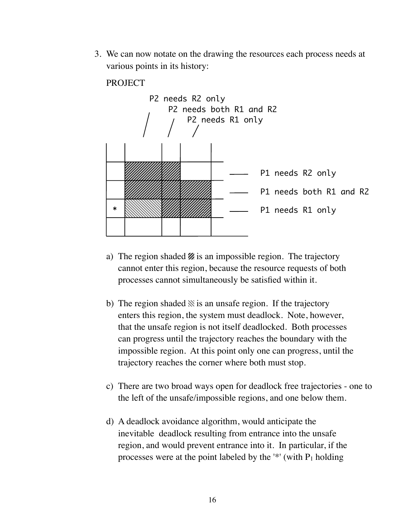3. We can now notate on the drawing the resources each process needs at various points in its history:

#### **PROJECT**



- a) The region shaded  $\mathcal{U}$  is an impossible region. The trajectory cannot enter this region, because the resource requests of both processes cannot simultaneously be satisfied within it.
- b) The region shaded  $\aleph$  is an unsafe region. If the trajectory enters this region, the system must deadlock. Note, however, that the unsafe region is not itself deadlocked. Both processes can progress until the trajectory reaches the boundary with the impossible region. At this point only one can progress, until the trajectory reaches the corner where both must stop.
- c) There are two broad ways open for deadlock free trajectories one to the left of the unsafe/impossible regions, and one below them.
- d) A deadlock avoidance algorithm, would anticipate the inevitable deadlock resulting from entrance into the unsafe region, and would prevent entrance into it. In particular, if the processes were at the point labeled by the '\*' (with  $P_1$  holding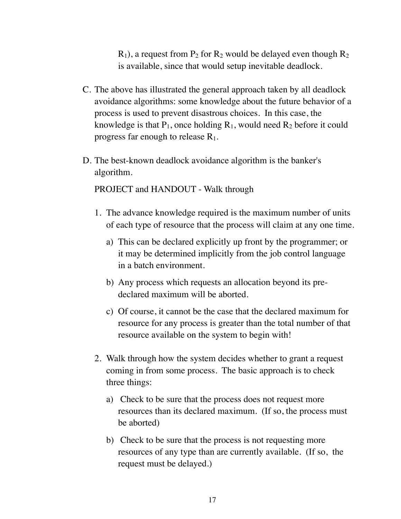$R_1$ ), a request from  $P_2$  for  $R_2$  would be delayed even though  $R_2$ is available, since that would setup inevitable deadlock.

- C. The above has illustrated the general approach taken by all deadlock avoidance algorithms: some knowledge about the future behavior of a process is used to prevent disastrous choices. In this case, the knowledge is that  $P_1$ , once holding  $R_1$ , would need  $R_2$  before it could progress far enough to release  $R_1$ .
- D. The best-known deadlock avoidance algorithm is the banker's algorithm.

PROJECT and HANDOUT - Walk through

- 1. The advance knowledge required is the maximum number of units of each type of resource that the process will claim at any one time.
	- a) This can be declared explicitly up front by the programmer; or it may be determined implicitly from the job control language in a batch environment.
	- b) Any process which requests an allocation beyond its predeclared maximum will be aborted.
	- c) Of course, it cannot be the case that the declared maximum for resource for any process is greater than the total number of that resource available on the system to begin with!
- 2. Walk through how the system decides whether to grant a request coming in from some process. The basic approach is to check three things:
	- a) Check to be sure that the process does not request more resources than its declared maximum. (If so, the process must be aborted)
	- b) Check to be sure that the process is not requesting more resources of any type than are currently available. (If so, the request must be delayed.)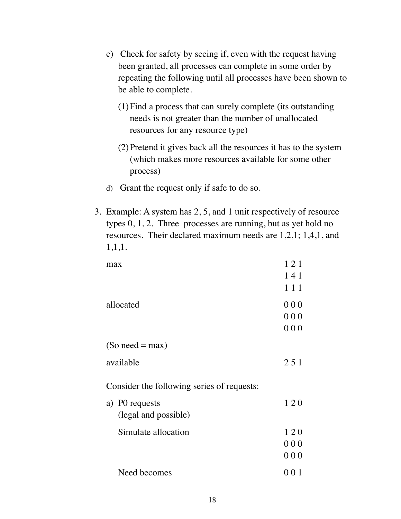- c) Check for safety by seeing if, even with the request having been granted, all processes can complete in some order by repeating the following until all processes have been shown to be able to complete.
	- (1)Find a process that can surely complete (its outstanding needs is not greater than the number of unallocated resources for any resource type)
	- (2)Pretend it gives back all the resources it has to the system (which makes more resources available for some other process)
- d) Grant the request only if safe to do so.
- 3. Example: A system has 2, 5, and 1 unit respectively of resource types 0, 1, 2. Three processes are running, but as yet hold no resources. Their declared maximum needs are 1,2,1; 1,4,1, and 1,1,1.

| max                                        | 121 |
|--------------------------------------------|-----|
|                                            | 141 |
|                                            | 111 |
| allocated                                  | 000 |
|                                            | 000 |
|                                            | 000 |
| $(So need = max)$                          |     |
| available                                  | 251 |
| Consider the following series of requests: |     |
| a) P0 requests                             | 120 |
| (legal and possible)                       |     |
| Simulate allocation                        | 120 |
|                                            | 000 |
|                                            | 000 |
| Need becomes                               | 001 |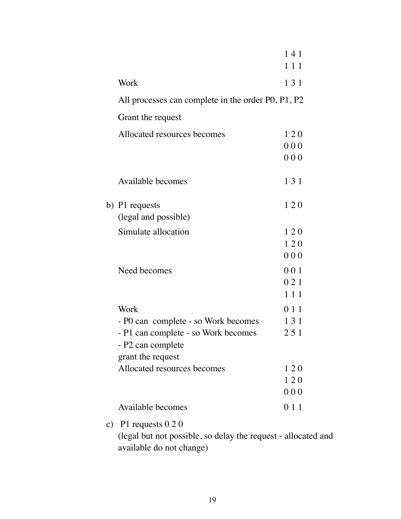|                                                                                    | 141<br>111                                                              |
|------------------------------------------------------------------------------------|-------------------------------------------------------------------------|
| Work                                                                               | 131                                                                     |
|                                                                                    |                                                                         |
| Grant the request                                                                  |                                                                         |
| Allocated resources becomes                                                        | 120<br>000<br>000                                                       |
| Available becomes                                                                  | 131                                                                     |
| b) P1 requests<br>(legal and possible)                                             | 120                                                                     |
| Simulate allocation                                                                | 120                                                                     |
| Need becomes                                                                       | 120<br>000<br>001<br>021<br>111                                         |
| Work<br>- P0 can complete - so Work becomes<br>- P1 can complete - so Work becomes | 0 1 1<br>131<br>251                                                     |
| grant the request                                                                  |                                                                         |
| Allocated resources becomes                                                        | 120<br>120<br>000                                                       |
| Available becomes                                                                  | 0 1 1                                                                   |
|                                                                                    | All processes can complete in the order P0, P1, P2<br>- P2 can complete |

c) P1 requests 0 2 0

(legal but not possible, so delay the request - allocated and available do not change)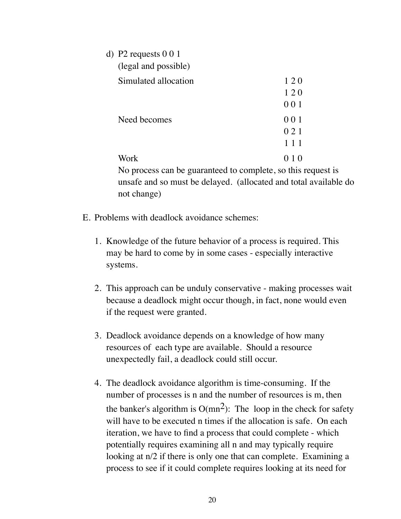| d) P2 requests $0\ 0\ 1$                             |       |  |
|------------------------------------------------------|-------|--|
| (legal and possible)                                 |       |  |
| Simulated allocation                                 | 120   |  |
|                                                      | 120   |  |
|                                                      | 001   |  |
| Need becomes                                         | 001   |  |
|                                                      | 0 2 1 |  |
|                                                      | 111   |  |
| Work                                                 | 010   |  |
| No process can be guaranteed to complete, so this re |       |  |

equest is unsafe and so must be delayed. (allocated and total available do not change)

- E. Problems with deadlock avoidance schemes:
	- 1. Knowledge of the future behavior of a process is required. This may be hard to come by in some cases - especially interactive systems.
	- 2. This approach can be unduly conservative making processes wait because a deadlock might occur though, in fact, none would even if the request were granted.
	- 3. Deadlock avoidance depends on a knowledge of how many resources of each type are available. Should a resource unexpectedly fail, a deadlock could still occur.
	- 4. The deadlock avoidance algorithm is time-consuming. If the number of processes is n and the number of resources is m, then the banker's algorithm is  $O(mn^2)$ : The loop in the check for safety will have to be executed n times if the allocation is safe. On each iteration, we have to find a process that could complete - which potentially requires examining all n and may typically require looking at n/2 if there is only one that can complete. Examining a process to see if it could complete requires looking at its need for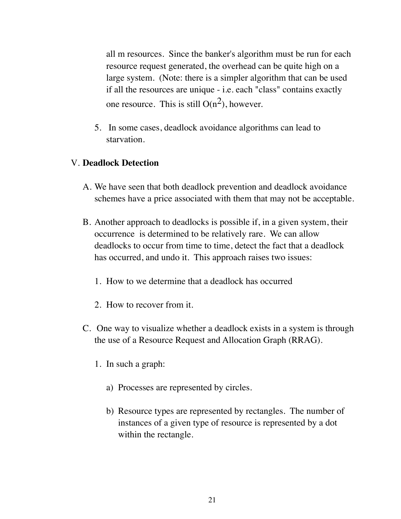all m resources. Since the banker's algorithm must be run for each resource request generated, the overhead can be quite high on a large system. (Note: there is a simpler algorithm that can be used if all the resources are unique - i.e. each "class" contains exactly one resource. This is still  $O(n^2)$ , however.

5. In some cases, deadlock avoidance algorithms can lead to starvation.

#### V. **Deadlock Detection**

- A. We have seen that both deadlock prevention and deadlock avoidance schemes have a price associated with them that may not be acceptable.
- B. Another approach to deadlocks is possible if, in a given system, their occurrence is determined to be relatively rare. We can allow deadlocks to occur from time to time, detect the fact that a deadlock has occurred, and undo it. This approach raises two issues:
	- 1. How to we determine that a deadlock has occurred
	- 2. How to recover from it.
- C. One way to visualize whether a deadlock exists in a system is through the use of a Resource Request and Allocation Graph (RRAG).
	- 1. In such a graph:
		- a) Processes are represented by circles.
		- b) Resource types are represented by rectangles. The number of instances of a given type of resource is represented by a dot within the rectangle.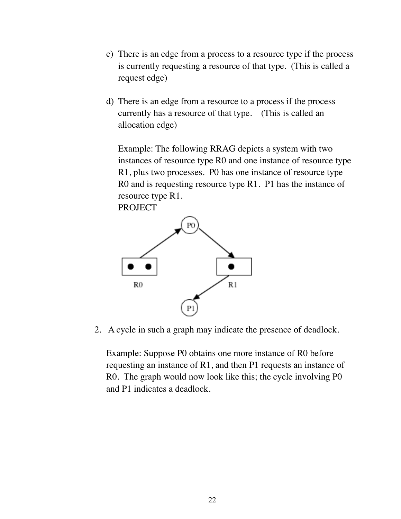- c) There is an edge from a process to a resource type if the process is currently requesting a resource of that type. (This is called a request edge)
- d) There is an edge from a resource to a process if the process currently has a resource of that type. (This is called an allocation edge)

Example: The following RRAG depicts a system with two instances of resource type R0 and one instance of resource type R1, plus two processes. P0 has one instance of resource type R0 and is requesting resource type R1. P1 has the instance of resource type R1.





2. A cycle in such a graph may indicate the presence of deadlock.

Example: Suppose P0 obtains one more instance of R0 before requesting an instance of R1, and then P1 requests an instance of R0. The graph would now look like this; the cycle involving P0 and P1 indicates a deadlock.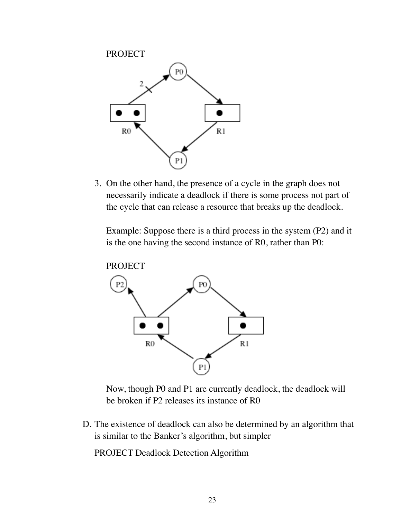PROJECT P0 R<sub>0</sub>  $R1$ P

3. On the other hand, the presence of a cycle in the graph does not necessarily indicate a deadlock if there is some process not part of the cycle that can release a resource that breaks up the deadlock.

Example: Suppose there is a third process in the system (P2) and it is the one having the second instance of R0, rather than P0:



Now, though P0 and P1 are currently deadlock, the deadlock will be broken if P2 releases its instance of R0

D. The existence of deadlock can also be determined by an algorithm that is similar to the Banker's algorithm, but simpler

PROJECT Deadlock Detection Algorithm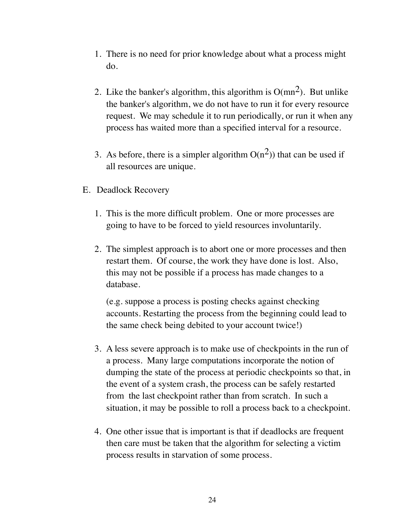- 1. There is no need for prior knowledge about what a process might do.
- 2. Like the banker's algorithm, this algorithm is  $O(mn^2)$ . But unlike the banker's algorithm, we do not have to run it for every resource request. We may schedule it to run periodically, or run it when any process has waited more than a specified interval for a resource.
- 3. As before, there is a simpler algorithm  $O(n^2)$ ) that can be used if all resources are unique.
- E. Deadlock Recovery
	- 1. This is the more difficult problem. One or more processes are going to have to be forced to yield resources involuntarily.
	- 2. The simplest approach is to abort one or more processes and then restart them. Of course, the work they have done is lost. Also, this may not be possible if a process has made changes to a database.

(e.g. suppose a process is posting checks against checking accounts. Restarting the process from the beginning could lead to the same check being debited to your account twice!)

- 3. A less severe approach is to make use of checkpoints in the run of a process. Many large computations incorporate the notion of dumping the state of the process at periodic checkpoints so that, in the event of a system crash, the process can be safely restarted from the last checkpoint rather than from scratch. In such a situation, it may be possible to roll a process back to a checkpoint.
- 4. One other issue that is important is that if deadlocks are frequent then care must be taken that the algorithm for selecting a victim process results in starvation of some process.